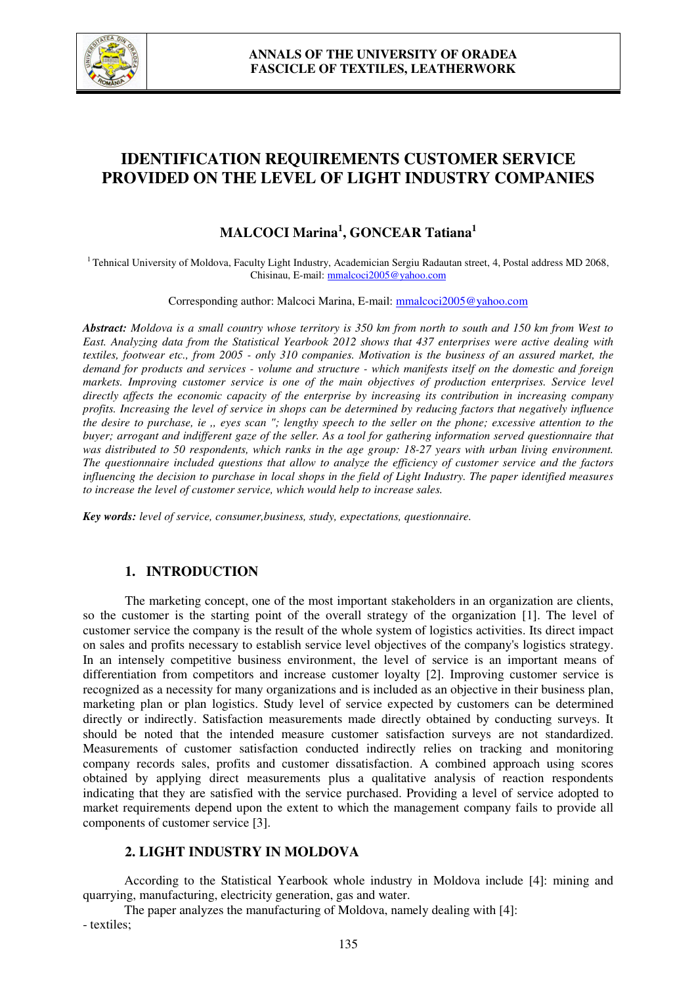

# **IDENTIFICATION REQUIREMENTS CUSTOMER SERVICE PROVIDED ON THE LEVEL OF LIGHT INDUSTRY COMPANIES**

# **MALCOCI Marina<sup>1</sup> , GONCEAR Tatiana<sup>1</sup>**

 $1$ Tehnical University of Moldova, Faculty Light Industry, Academician Sergiu Radautan street, 4, Postal address MD 2068, Chisinau, E-mail: mmalcoci2005@yahoo.com

Corresponding author: Malcoci Marina, E-mail: mmalcoci2005@yahoo.com

*Abstract: Moldova is a small country whose territory is 350 km from north to south and 150 km from West to East. Analyzing data from the Statistical Yearbook 2012 shows that 437 enterprises were active dealing with textiles, footwear etc., from 2005 - only 310 companies. Motivation is the business of an assured market, the demand for products and services - volume and structure - which manifests itself on the domestic and foreign markets. Improving customer service is one of the main objectives of production enterprises. Service level directly affects the economic capacity of the enterprise by increasing its contribution in increasing company profits. Increasing the level of service in shops can be determined by reducing factors that negatively influence the desire to purchase, ie ,, eyes scan "; lengthy speech to the seller on the phone; excessive attention to the buyer; arrogant and indifferent gaze of the seller. As a tool for gathering information served questionnaire that was distributed to 50 respondents, which ranks in the age group: 18-27 years with urban living environment. The questionnaire included questions that allow to analyze the efficiency of customer service and the factors influencing the decision to purchase in local shops in the field of Light Industry. The paper identified measures to increase the level of customer service, which would help to increase sales.* 

*Key words: level of service, consumer,business, study, expectations, questionnaire.* 

#### **1. INTRODUCTION**

 The marketing concept, one of the most important stakeholders in an organization are clients, so the customer is the starting point of the overall strategy of the organization [1]. The level of customer service the company is the result of the whole system of logistics activities. Its direct impact on sales and profits necessary to establish service level objectives of the company's logistics strategy. In an intensely competitive business environment, the level of service is an important means of differentiation from competitors and increase customer loyalty [2]. Improving customer service is recognized as a necessity for many organizations and is included as an objective in their business plan, marketing plan or plan logistics. Study level of service expected by customers can be determined directly or indirectly. Satisfaction measurements made directly obtained by conducting surveys. It should be noted that the intended measure customer satisfaction surveys are not standardized. Measurements of customer satisfaction conducted indirectly relies on tracking and monitoring company records sales, profits and customer dissatisfaction. A combined approach using scores obtained by applying direct measurements plus a qualitative analysis of reaction respondents indicating that they are satisfied with the service purchased. Providing a level of service adopted to market requirements depend upon the extent to which the management company fails to provide all components of customer service [3].

# **2. LIGHT INDUSTRY IN MOLDOVA**

According to the Statistical Yearbook whole industry in Moldova include [4]: mining and quarrying, manufacturing, electricity generation, gas and water.

The paper analyzes the manufacturing of Moldova, namely dealing with [4]: - textiles;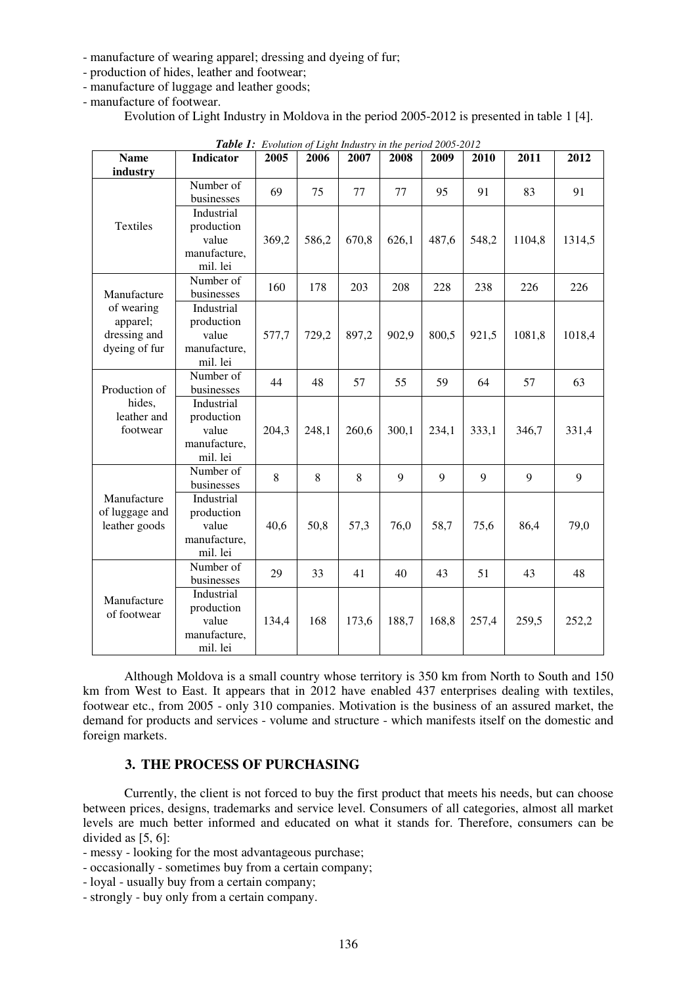- manufacture of wearing apparel; dressing and dyeing of fur;
- production of hides, leather and footwear;
- manufacture of luggage and leather goods;
- manufacture of footwear.

Evolution of Light Industry in Moldova in the period 2005-2012 is presented in table 1 [4].

| <b>Table 1.</b> Evolution of Eight mausity in the period 2005-2012     |              |       |       |       |       |       |       |        |        |
|------------------------------------------------------------------------|--------------|-------|-------|-------|-------|-------|-------|--------|--------|
| <b>Name</b>                                                            | Indicator    | 2005  | 2006  | 2007  | 2008  | 2009  | 2010  | 2011   | 2012   |
| industry                                                               |              |       |       |       |       |       |       |        |        |
| Textiles                                                               | Number of    | 69    | 75    | 77    | 77    | 95    | 91    | 83     | 91     |
|                                                                        | businesses   |       |       |       |       |       |       |        |        |
|                                                                        | Industrial   |       |       |       |       |       |       |        |        |
|                                                                        | production   |       |       |       |       |       |       |        |        |
|                                                                        | value        | 369,2 | 586,2 | 670,8 | 626,1 | 487,6 | 548,2 | 1104,8 | 1314,5 |
|                                                                        | manufacture, |       |       |       |       |       |       |        |        |
|                                                                        | mil. lei     |       |       |       |       |       |       |        |        |
| Manufacture<br>of wearing<br>apparel;<br>dressing and<br>dyeing of fur | Number of    | 160   | 178   | 203   | 208   | 228   | 238   | 226    | 226    |
|                                                                        | businesses   |       |       |       |       |       |       |        |        |
|                                                                        | Industrial   |       |       |       |       |       |       |        |        |
|                                                                        | production   |       |       |       |       |       |       |        |        |
|                                                                        | value        | 577,7 | 729,2 | 897,2 | 902,9 | 800,5 | 921,5 | 1081,8 | 1018,4 |
|                                                                        | manufacture, |       |       |       |       |       |       |        |        |
|                                                                        | mil. lei     |       |       |       |       |       |       |        |        |
| Production of<br>hides,<br>leather and<br>footwear                     | Number of    | 44    | 48    | 57    | 55    | 59    | 64    | 57     | 63     |
|                                                                        | businesses   |       |       |       |       |       |       |        |        |
|                                                                        | Industrial   |       |       |       |       |       |       |        |        |
|                                                                        | production   |       |       |       |       |       |       |        |        |
|                                                                        | value        | 204,3 | 248,1 | 260,6 | 300,1 | 234,1 | 333,1 | 346,7  | 331,4  |
|                                                                        | manufacture, |       |       |       |       |       |       |        |        |
|                                                                        | mil. lei     |       |       |       |       |       |       |        |        |
| Manufacture<br>of luggage and<br>leather goods                         | Number of    | 8     | 8     | 8     | 9     | 9     | 9     | 9      | 9      |
|                                                                        | businesses   |       |       |       |       |       |       |        |        |
|                                                                        | Industrial   |       |       |       |       |       |       |        |        |
|                                                                        | production   |       |       |       |       |       |       |        |        |
|                                                                        | value        | 40,6  | 50,8  | 57,3  | 76,0  | 58,7  | 75,6  | 86,4   | 79,0   |
|                                                                        | manufacture, |       |       |       |       |       |       |        |        |
|                                                                        | mil. lei     |       |       |       |       |       |       |        |        |
| Manufacture<br>of footwear                                             | Number of    | 29    | 33    | 41    | 40    | 43    | 51    | 43     | 48     |
|                                                                        | businesses   |       |       |       |       |       |       |        |        |
|                                                                        | Industrial   |       |       |       |       |       |       |        |        |
|                                                                        | production   |       |       |       |       |       |       |        |        |
|                                                                        | value        | 134,4 | 168   | 173,6 | 188,7 | 168,8 | 257,4 | 259,5  | 252,2  |
|                                                                        | manufacture, |       |       |       |       |       |       |        |        |
|                                                                        | mil. lei     |       |       |       |       |       |       |        |        |

*Table 1: Evolution of Light Industry in the period 2005-2012*

Although Moldova is a small country whose territory is 350 km from North to South and 150 km from West to East. It appears that in 2012 have enabled 437 enterprises dealing with textiles, footwear etc., from 2005 - only 310 companies. Motivation is the business of an assured market, the demand for products and services - volume and structure - which manifests itself on the domestic and foreign markets.

### **3. THE PROCESS OF PURCHASING**

Currently, the client is not forced to buy the first product that meets his needs, but can choose between prices, designs, trademarks and service level. Consumers of all categories, almost all market levels are much better informed and educated on what it stands for. Therefore, consumers can be divided as [5, 6]:

- messy looking for the most advantageous purchase;
- occasionally sometimes buy from a certain company;
- loyal usually buy from a certain company;
- strongly buy only from a certain company.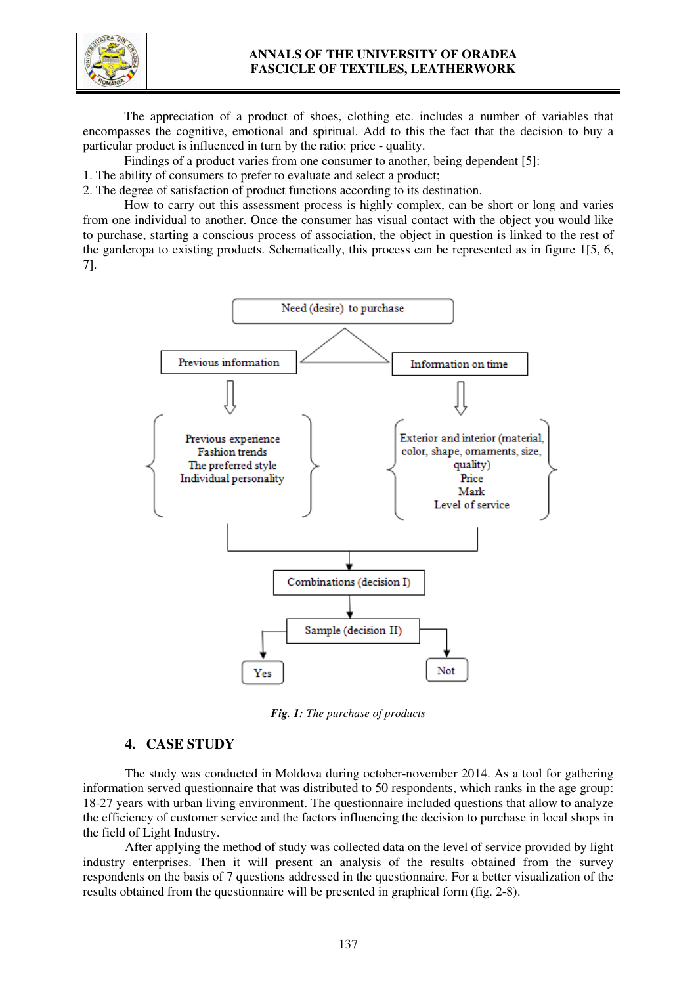

## **ANNALS OF THE UNIVERSITY OF ORADEA FASCICLE OF TEXTILES, LEATHERWORK**

The appreciation of a product of shoes, clothing etc. includes a number of variables that encompasses the cognitive, emotional and spiritual. Add to this the fact that the decision to buy a particular product is influenced in turn by the ratio: price - quality.

Findings of a product varies from one consumer to another, being dependent [5]:

1. The ability of consumers to prefer to evaluate and select a product;

2. The degree of satisfaction of product functions according to its destination.

How to carry out this assessment process is highly complex, can be short or long and varies from one individual to another. Once the consumer has visual contact with the object you would like to purchase, starting a conscious process of association, the object in question is linked to the rest of the garderopa to existing products. Schematically, this process can be represented as in figure 1[5, 6, 7].



*Fig. 1: The purchase of products* 

#### **4. CASE STUDY**

The study was conducted in Moldova during october-november 2014. As a tool for gathering information served questionnaire that was distributed to 50 respondents, which ranks in the age group: 18-27 years with urban living environment. The questionnaire included questions that allow to analyze the efficiency of customer service and the factors influencing the decision to purchase in local shops in the field of Light Industry.

After applying the method of study was collected data on the level of service provided by light industry enterprises. Then it will present an analysis of the results obtained from the survey respondents on the basis of 7 questions addressed in the questionnaire. For a better visualization of the results obtained from the questionnaire will be presented in graphical form (fig. 2-8).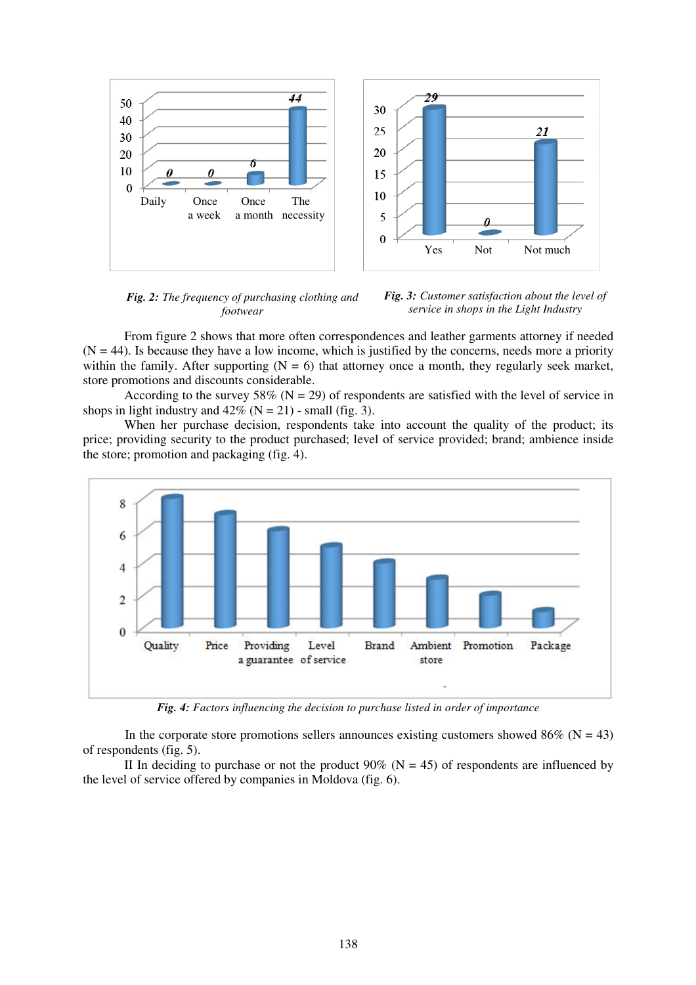

*Fig. 2: The frequency of purchasing clothing and footwear*



From figure 2 shows that more often correspondences and leather garments attorney if needed  $(N = 44)$ . Is because they have a low income, which is justified by the concerns, needs more a priority within the family. After supporting  $(N = 6)$  that attorney once a month, they regularly seek market, store promotions and discounts considerable.

According to the survey 58% ( $N = 29$ ) of respondents are satisfied with the level of service in shops in light industry and  $42\%$  (N = 21) - small (fig. 3).

When her purchase decision, respondents take into account the quality of the product; its price; providing security to the product purchased; level of service provided; brand; ambience inside the store; promotion and packaging (fig. 4).



*Fig. 4: Factors influencing the decision to purchase listed in order of importance*

In the corporate store promotions sellers announces existing customers showed 86% ( $N = 43$ ) of respondents (fig. 5).

II In deciding to purchase or not the product  $90\%$  (N = 45) of respondents are influenced by the level of service offered by companies in Moldova (fig. 6).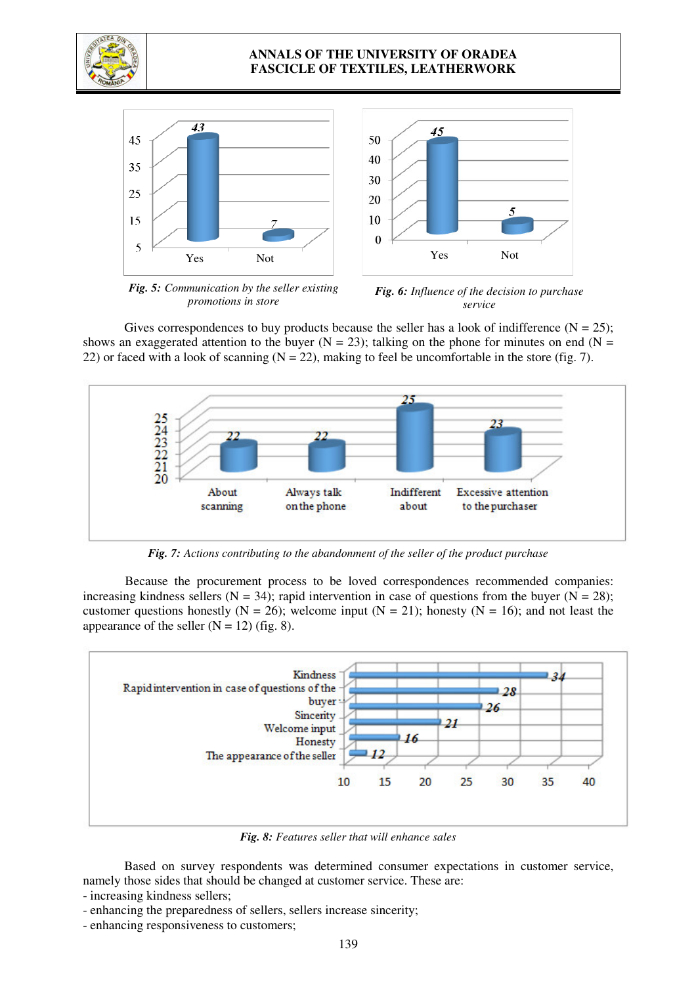

## **ANNALS OF THE UNIVERSITY OF ORADEA FASCICLE OF TEXTILES, LEATHERWORK**



*Fig. 5: Communication by the seller existing promotions in store*

*Fig. 6: Influence of the decision to purchase service*

Gives correspondences to buy products because the seller has a look of indifference ( $N = 25$ ); shows an exaggerated attention to the buyer ( $N = 23$ ); talking on the phone for minutes on end ( $N =$ 22) or faced with a look of scanning  $(N = 22)$ , making to feel be uncomfortable in the store (fig. 7).



*Fig. 7: Actions contributing to the abandonment of the seller of the product purchase* 

Because the procurement process to be loved correspondences recommended companies: increasing kindness sellers (N = 34); rapid intervention in case of questions from the buyer (N = 28); customer questions honestly ( $N = 26$ ); welcome input ( $N = 21$ ); honesty ( $N = 16$ ); and not least the appearance of the seller  $(N = 12)$  (fig. 8).



*Fig. 8: Features seller that will enhance sales* 

Based on survey respondents was determined consumer expectations in customer service, namely those sides that should be changed at customer service. These are:

- increasing kindness sellers;

- enhancing the preparedness of sellers, sellers increase sincerity;
- enhancing responsiveness to customers;